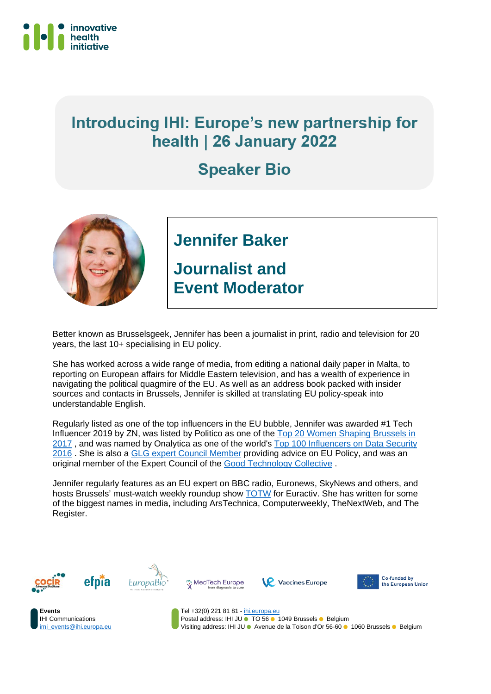

## Introducing IHI: Europe's new partnership for health | 26 January 2022

## **Speaker Bio**



## **Jennifer Baker**

**Journalist and Event Moderator**

Better known as Brusselsgeek, Jennifer has been a journalist in print, radio and television for 20 years, the last 10+ specialising in EU policy.

She has worked across a wide range of media, from editing a national daily paper in Malta, to reporting on European affairs for Middle Eastern television, and has a wealth of experience in navigating the political quagmire of the EU. As well as an address book packed with insider sources and contacts in Brussels, Jennifer is skilled at translating EU policy-speak into understandable English.

Regularly listed as one of the top influencers in the EU bubble, Jennifer was awarded #1 Tech Influencer 2019 by ZN, was listed by Politico as one of the [Top 20 Women Shaping Brussels in](https://www.politico.eu/list/women-who-shape-brussels-2017-ranking/tech-titans/) [2017](https://www.politico.eu/list/women-who-shape-brussels-2017-ranking/tech-titans/), and was named by Onalytica as one of the world's [Top 100 Influencers on Data Security](http://www.onalytica.com/blog/posts/data-security-top-100-influencers-and-brands/?utm_content=buffer65cab&utm_medium=social&utm_source=facebook.com&utm_campaign=buffer) [2016](http://www.onalytica.com/blog/posts/data-security-top-100-influencers-and-brands/?utm_content=buffer65cab&utm_medium=social&utm_source=facebook.com&utm_campaign=buffer) . She is also a **GLG expert Council Member** providing advice on EU Policy, and was an original member of the Expert Council of the [Good Technology Collective](https://goodtechnologycollective.com/) .

Jennifer regularly features as an EU expert on BBC radio, Euronews, SkyNews and others, and hosts Brussels' must-watch weekly roundup show [TOTW](https://www.youtube.com/watch?v=Ch1AduGjawQ&list=PLOwH4SVsRp0KHq8yIpPAYQUJQEFFb-sCg) for Euractiv. She has written for some of the biggest names in media, including ArsTechnica, Computerweekly, TheNextWeb, and The Register.













Tel +32(0) 221 81 81 - [ihi.europa.eu](http://www.ihi.europa.eu/) Postal address: IHI JU • TO 56 • 1049 Brussels • Belgium Visiting address: IHI JU Avenue de la Toison d'Or 56-60 1060 Brussels Belgium